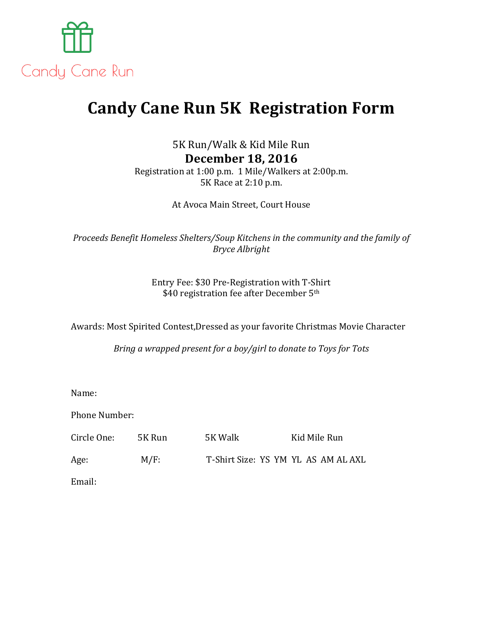

## **Candy Cane Run 5K Registration Form**

5K Run/Walk & Kid Mile Run **December 18, 2016** Registration at 1:00 p.m. 1 Mile/Walkers at 2:00p.m. 5K Race at 2:10 p.m.

At Avoca Main Street, Court House

*Proceeds Benefit Homeless Shelters/Soup Kitchens in the community and the family of Bryce Albright* 

> Entry Fee: \$30 Pre-Registration with T-Shirt \$40 registration fee after December 5<sup>th</sup>

Awards: Most Spirited Contest, Dressed as your favorite Christmas Movie Character

*Bring a wrapped present for a boy/girl to donate to Toys for Tots* 

Name: 

Phone Number:

Circle One: 5K Run 5K Walk Kid Mile Run Age: M/F: T-Shirt Size: YS YM YL AS AM AL AXL Email: